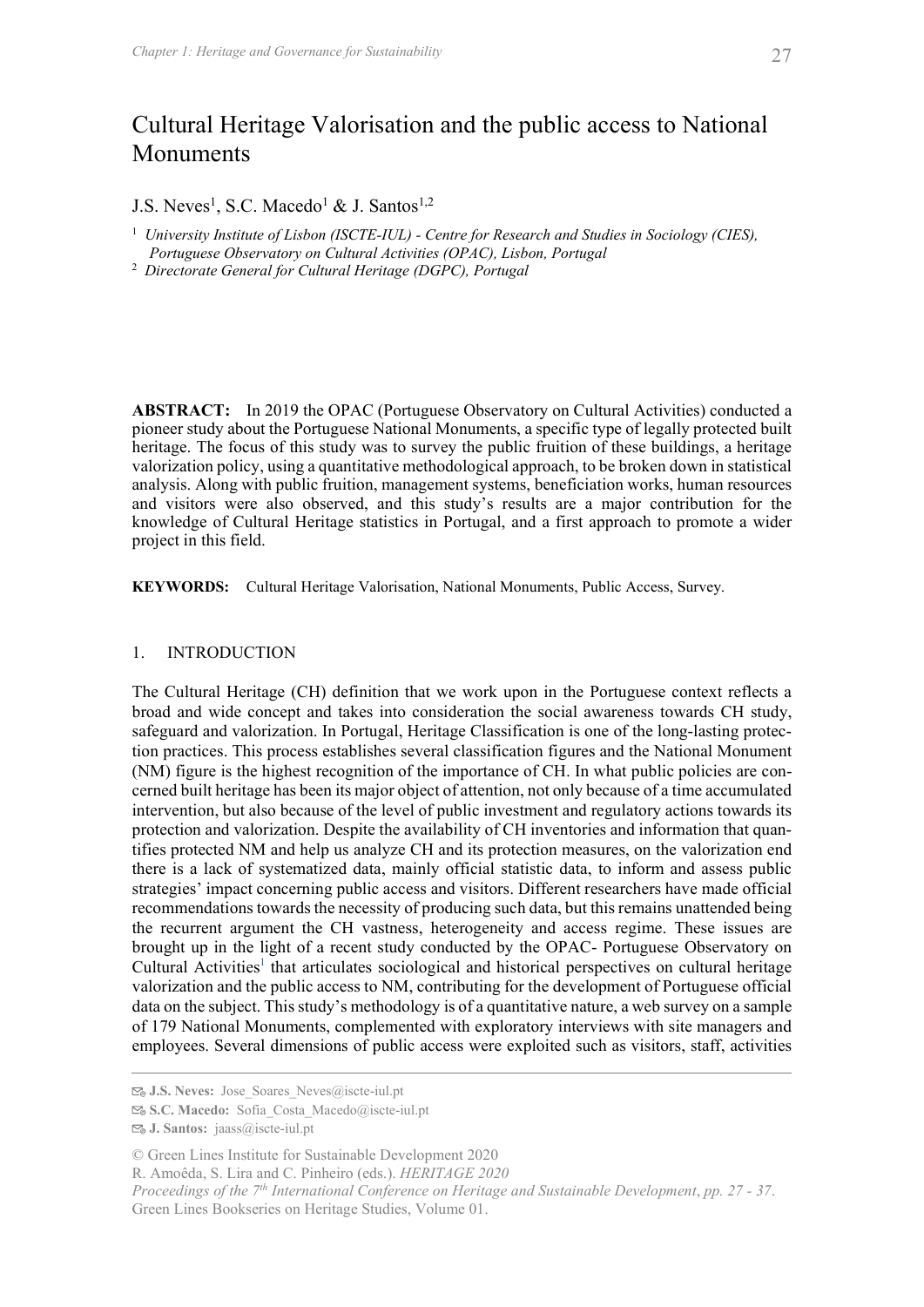# Cultural Heritage Valorisation and the public access to National Monuments <sup>itage</sup> and Governance for Sustainability<br> **Heritage Valorisation and the public access to National**<br> **s.s.c. Macedo<sup>1</sup> & J. Santos<sup>1,2</sup><br>
Institute of Lisbon (ISCTE-IUL) - Centre for Research and Studies in Sociology (CIES** Chapter 1: Heritage and Governance for Sustainability<br>
Cultural Heritage Valorisation and the public access to National<br>
Monuments<br>
I.S. Neves<sup>1</sup>, S.C. Macedo<sup>1</sup> & J. Santos<sup>1,2</sup><br>
University Institute of Lisbon (ISCTE-IUL)

J.S. Neves<sup>1</sup>, S.C. Macedo<sup>1</sup> & J. Santos<sup>1,2</sup>

- <sup>1</sup> University Institute of Lisbon (ISCTE-IUL) Centre for Research and Studies in Sociology (CIES).
- Portuguese Observatory on Cultural Activities (OPAC), Lisbon, Portugal
- 2 Directorate General for Cultural Heritage (DGPC), Portugal

ABSTRACT: In 2019 the OPAC (Portuguese Observatory on Cultural Activities) conducted a pioneer study about the Portuguese National Monuments, a specific type of legally protected built heritage. The focus of this study was to survey the public fruition of these buildings, a heritage valorization policy, using a quantitative methodological approach, to be broken down in statistical analysis. Along with public fruition, management systems, beneficiation works, human resources and visitors were also observed, and this study's results are a major contribution for the knowledge of Cultural Heritage statistics in Portugal, and a first approach to promote a wider project in this field. **J.S.** Neves<sup>1</sup>, S.C. Maccdo<sup>1</sup> & J. Santos<sup>1,2</sup><br>
<sup>1</sup> University Institute of Lisbon (ISCTE-IUL) - Centre for Research and Studies in Sociology (CIES),<br> *Portuguese Observatory on Cultural Activities (OPAC), Portugal*<br> *Di* Portuguese Observatory on Cultural Activities (OPAC), Lisbon, Portugal<br>
2. Directorate General for Cultural Heritage (DGPC), Portugal<br>
1. Directorate General for Cultural Heritage (DGPC), Portugal<br>
1. In SASTRACT: In 2019 **ABSTRACT:** In 2019 the OPAC (Portuguese Observatory on Cultural Activities) conducted a pioneer study about the Portuguese National Monuments, a specific type of legally protected built<br>pheritage. The focus of this study

corred built heritage has been is may on by collection, not only because of a time accumulated<br>proceeding and conference on and alternative and increases, on the valorization<br>sumproceding and valorization. Despite the avai broad and wide concept and takes into consideration the social awareness towards CH study, safeguard and valorization. In Portugal, Heritage Classification is one of the long-lasting protection practices. This process establishes several classification figures and the National Monument (NM) figure is the highest recognition of the importance of CH. In what public policies are concerned built heritage has been its major object of attention, not only because of a time accumulated intervention, but also because of the level of public investment and regulatory actions towards its protection and valorization. Despite the availability of CH inventories and information that quannetringe. The rocus of this study was fo survey the public means that means are a butomgs, a nerringe<br>valorization policy, using a quantitative methodological approach, to be broken down in statistical<br>analysis. Along with there is a lack of systematized data, mainly official statistic data, to inform and assess public strategies' impact concerning public access and visitors. Different researchers have made official recommendations towards the necessity of producing such data, but this remains unattended being the recurrent argument the CH vastness, heterogeneity and access regime. These issues are **EXECT THE CONDUCTION**<br> **EXECTS INTERVIORDS:** Cultural Heritage Valorisation, National Monuments, Public Access, Survey.<br>
The Cultural Heritage (CH) definition that we work upon in the Portuguese context reflects a<br>
horad Cultural Activities<sup>1</sup> that articulates sociological and historical perspectives on cultural heritage valorization and the public access to NM, contributing for the development of Portuguese official data on the subject. This study's methodology is of a quantitative nature, a web survey on a sample of 179 National Monuments, complemented with exploratory interviews with site managers and employees. Several dimensions of public access were exploited such as visitors, staff, activities

R. Amoêda, S. Lira and C. Pinheiro (eds.). HERITAGE 2020

 $\mathbb{F}_{\omega}$  J.S. Neves: Jose Soares Neves@iscte-iul.pt

S.C. Macedo: Sofia\_Costa\_Macedo@iscte-iul.pt

J. Santos: jaass@iscte-iul.pt

<sup>©</sup> Green Lines Institute for Sustainable Development 2020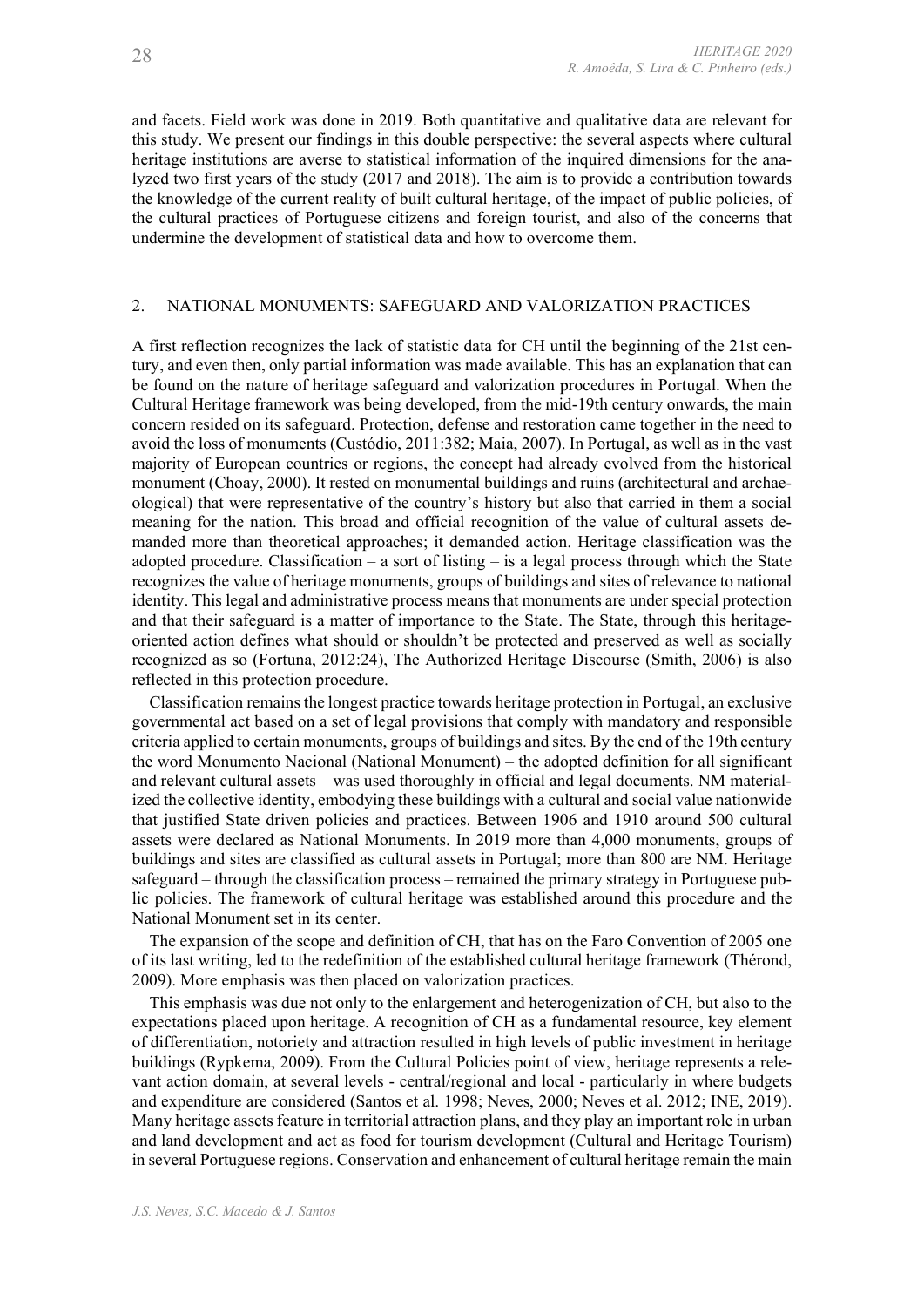and facets. Field work was done in 2019. Both quantitative and qualitative data are relevant for *R. Amoêda, S. Lira & C. Pinheiro (eds.)*<br> **R. Amoêda, S. Lira & C. Pinheiro (eds.)**<br> **and facets. Field work was done in 2019. Both quantitative and qualitative data are relevant for<br>
this study. We present our findings i** heritage institutions are averse to statistical information of the inquired dimensions for the analyzed two first years of the study (2017 and 2018). The aim is to provide a contribution towards the knowledge of the current reality of built cultural heritage, of the impact of public policies, of the cultural practices of Portuguese citizens and foreign tourist, and also of the concerns that undermine the development of statistical data and how to overcome them. *R. Amoêda, S. Lira & C. Pinheiro (eds.)*<br> *R. Amoêda, S. Lira & C. Pinheiro (eds.)*<br>
and facets. Field work was done in 2019. Both quantitative and qualitative data are relevant for<br>
this study. We present our findings in

A first reflection recognizes the lack of statistic data for CH until the beginning of the 21st century, and even then, only partial information was made available. This has an explanation that can be found on the nature of heritage safeguard and valorization procedures in Portugal. When the Cultural Heritage framework was being developed, from the mid-19th century onwards, the main concern resided on its safeguard. Protection, defense and restoration came together in the need to avoid the loss of monuments (Custódio, 2011:382; Maia, 2007). In Portugal, as well as in the vast majority of European countries or regions, the concept had already evolved from the historical monument (Choay, 2000). It rested on monumental buildings and ruins (architectural and archaeological) that were representative of the country's history but also that carried in them a social and meach reads. Pread work was abend pointly and punital twist and quantity and a green the meach in the mission of the mission of the mission of the mission of the mission of the mission of the several and inferinge in t manded more than theoretical approaches; it demanded action. Heritage classification was the adopted procedure. Classification – a sort of listing – is a legal process through which the State recognizes the value of heritage monuments, groups of buildings and sites of relevance to national identity. This legal and administrative process means that monuments are under special protection and that their safeguard is a matter of importance to the State. The State, through this heritageoriented action defines what should or shouldn't be protected and preserved as well as socially recognized as so (Fortuna, 2012:24), The Authorized Heritage Discourse (Smith, 2006) is also reflected in this protection procedure.

Classification remains the longest practice towards heritage protection in Portugal, an exclusive governmental act based on a set of legal provisions that comply with mandatory and responsible criteria applied to certain monuments, groups of buildings and sites. By the end of the 19th century the word Monumento Nacional (National Monument) – the adopted definition for all significant and relevant cultural assets – was used thoroughly in official and legal documents. NM materialized the collective identity, embodying these buildings with a cultural and social value nationwide that justified State driven policies and practices. Between 1906 and 1910 around 500 cultural assets were declared as National Monuments. In 2019 more than 4,000 monuments, groups of buildings and sites are classified as cultural assets in Portugal; more than 800 are NM. Heritage safeguard – through the classification process – remained the primary strategy in Portuguese public policies. The framework of cultural heritage was established around this procedure and the National Monument set in its center. relected in its protection procedure.<br>
Classification remains the longest practice towards heritage protection in Portugal, an exclusive<br>governmental act based on a set of legal provisions that comply with mandatoy and res Classification remains the longari practic towards heritage protection in Porugal, an exclusive<br>governmental act based on a set of legal provisions that comply with mandatory and responsible<br>the word Monumento Nacional (Na critrin applied to ecrtain monuturals, groups of buildings and sitts. By the ead of the 19th century<br>index and relevant cultural actsets — was used thoroughly in official and legal documents. MM material-<br>ind the collectiv

The expansion of the scope and definition of CH, that has on the Faro Convention of 2005 one of its last writing, led to the redefinition of the established cultural heritage framework (Thérond, 2009). More emphasis was then placed on valorization practices.

that justified State driven policies and practices. Between 1906 and 1910 around 500 cultural<br>assets were declared as National Monuments. In 2019 more than 4,000 monuments, groups of<br>buildings and sites are classified as c This emphasis was due not only to the enlargement and heterogenization of CH, but also to the expectations placed upon heritage. A recognition of CH as a fundamental resource, key element of differentiation, notoriety and attraction resulted in high levels of public investment in heritage buildings (Rypkema, 2009). From the Cultural Policies point of view, heritage represents a rele-Many heritage assets feature in territorial attraction plans, and they play an important role in urban in several Portuguese regions. Conservation and enhancement of cultural heritage remain the main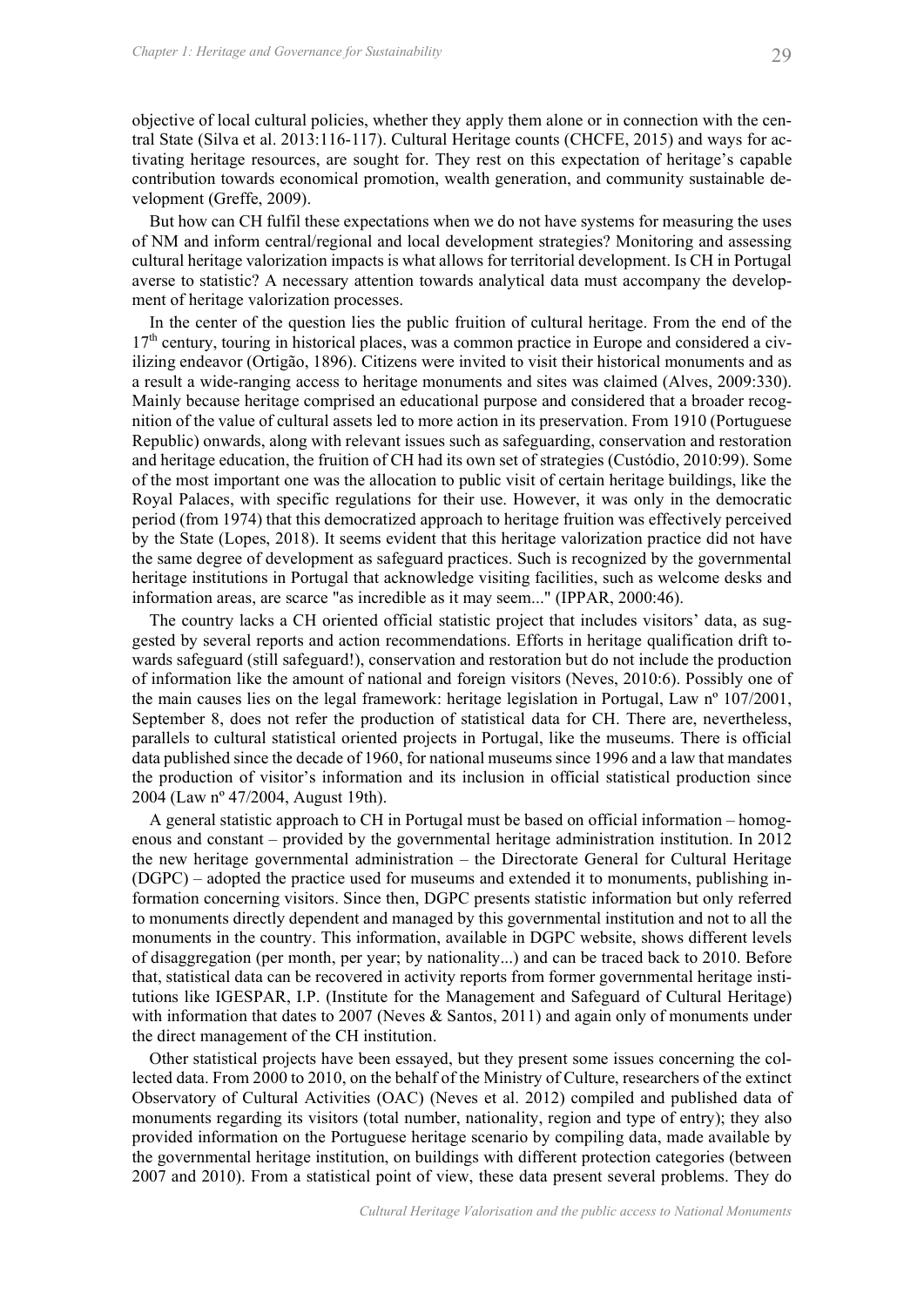objective of local cultural policies, whether they apply them alone or in connection with the cen-Chapter 1: Heritage and Governance for Sustainability<br>
objective of local cultural policies, whether they apply them alone or in connection with the cen-<br>
tral State (Silva et al. 2013:116-117). Cultural Heritage counts (C tivating heritage resources, are sought for. They rest on this expectation of heritage's capable contribution towards economical promotion, wealth generation, and community sustainable development (Greffe, 2009).

But how can CH fulfil these expectations when we do not have systems for measuring the uses of NM and inform central/regional and local development strategies? Monitoring and assessing cultural heritage valorization impacts is what allows for territorial development. Is CH in Portugal averse to statistic? A necessary attention towards analytical data must accompany the development of heritage valorization processes.

In the center of the question lies the public fruition of cultural heritage. From the end of the 17<sup>th</sup> century, touring in historical places, was a common practice in Europe and considered a civilizing endeavor (Ortigão, 1896). Citizens were invited to visit their historical monuments and as a result a wide-ranging access to heritage monuments and sites was claimed (Alves, 2009:330). Mainly because heritage comprised an educational purpose and considered that a broader recognition of the value of cultural assets led to more action in its preservation. From 1910 (Portuguese Republic) onwards, along with relevant issues such as safeguarding, conservation and restoration and heritage education, the fruition of CH had its own set of strategies (Custódio, 2010:99). Some of the most important one was the allocation to public visit of certain heritage buildings, like the Royal Palaces, with specific regulations for their use. However, it was only in the democratic period (from 1974) that this democratized approach to heritage fruition was effectively perceived by the State (Lopes, 2018). It seems evident that this heritage valorization practice did not have the same degree of development as safeguard practices. Such is recognized by the governmental contribution towards, economical promotion, wealth generation, and community sustainable de-<br>velopment (Greffe, 2009).<br>
But how can CH fulfil these expectations when we do not have systems for measuring the uses<br>
Dof NM an information areas, are scarce "as incredible as it may seem..." (IPPAR, 2000:46).

The country lacks a CH oriented official statistic project that includes visitors' data, as suggested by several reports and action recommendations. Efforts in heritage qualification drift towards safeguard (still safeguard!), conservation and restoration but do not include the production of information like the amount of national and foreign visitors (Neves, 2010:6). Possibly one of the main causes lies on the legal framework: heritage legislation in Portugal, Law nº 107/2001, September 8, does not refer the production of statistical data for CH. There are, nevertheless, parallels to cultural statistical oriented projects in Portugal, like the museums. There is official data published since the decade of 1960, for national museums since 1996 and a law that mandates the production of visitor's information and its inclusion in official statistical production since 2004 (Law nº 47/2004, August 19th). ion of the value of the value of national and forest and the based on of the value of the value of the value of the value of the value of the principal behases, with specific Customic the firstic of the firstic of the firs

enous and constant – provided by the governmental heritage administration institution. In 2012 the new heritage governmental administration – the Directorate General for Cultural Heritage (DGPC) – adopted the practice used for museums and extended it to monuments, publishing information concerning visitors. Since then, DGPC presents statistic information but only referred to monuments directly dependent and managed by this governmental institution and not to all the monuments in the country. This information, available in DGPC website, shows different levels of disaggregation (per month, per year; by nationality...) and can be traced back to 2010. Before that, statistical data can be recovered in activity reports from former governmental heritage institutions like IGESPAR, I.P. (Institute for the Management and Safeguard of Cultural Heritage) with information that dates to 2007 (Neves & Santos, 2011) and again only of monuments under the direct management of the CH institution. the main causes lies on the legal litenary<br>oris: heritage legalstation in Portugal, Law r<sup>n</sup> 107/2001,<br>September 8, does not refer the production of statistical data for CH. There are, revertheles,<br>parallels to cultural st parallels to cultural statstical onested provides in Portugal, like the mussums. There is oftical<br>parallels to cultural statstical oreas the providents of the must amount of respective of visitor's information and its incl

Other statistical projects have been essayed, but they present some issues concerning the collected data. From 2000 to 2010, on the behalf of the Ministry of Culture, researchers of the extinct monuments regarding its visitors (total number, nationality, region and type of entry); they also the governmental heritage institution, on buildings with different protection categories (between 2007 and 2010). From a statistical point of view, these data present several problems. They do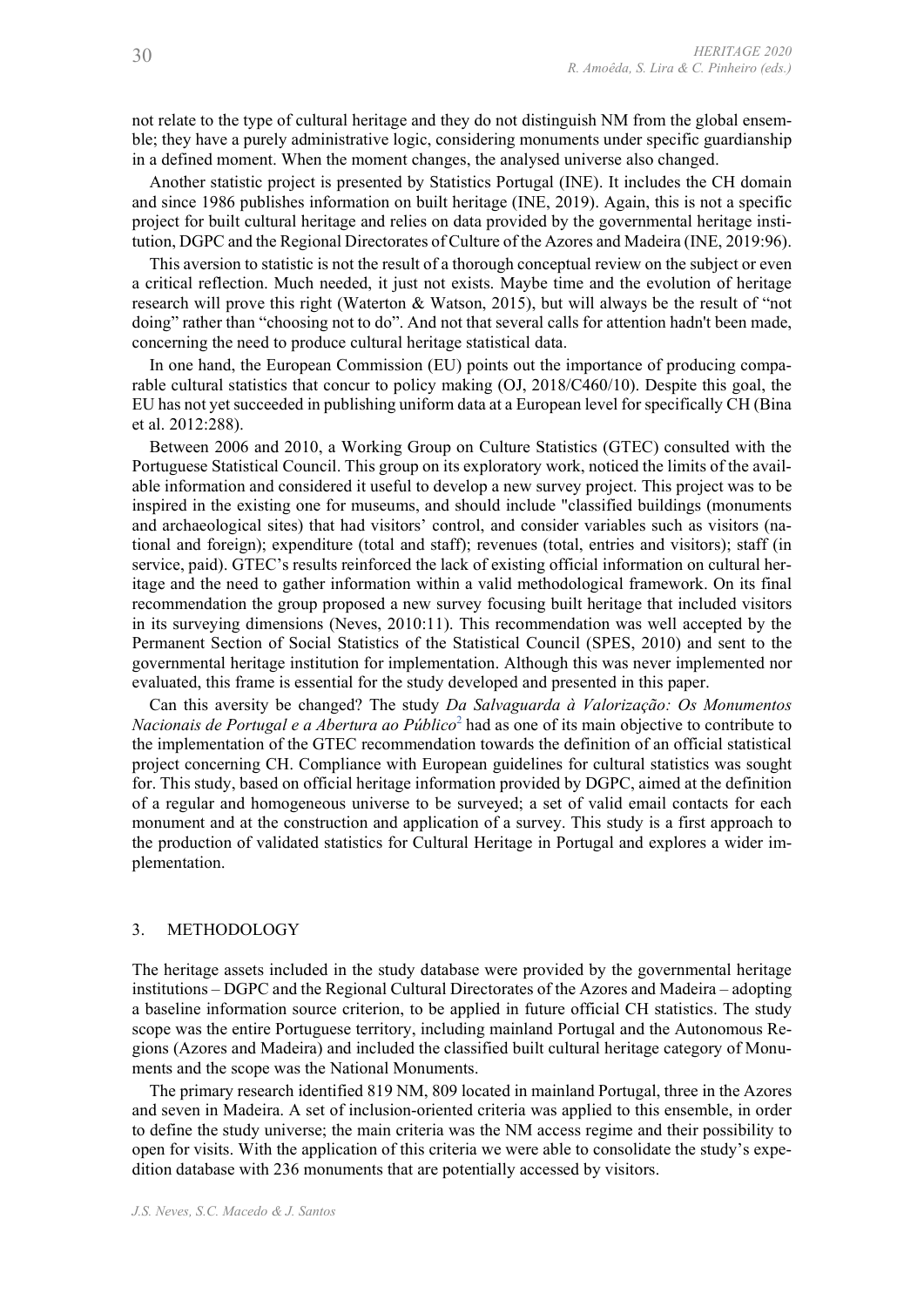not relate to the type of cultural heritage and they do not distinguish NM from the global ensemble; they have a purely administrative logic, considering monuments under specific guardianship

*R. Amoêda, S. Lira & C. Pinheiro (eds.)*<br> **in a defined to the type of cultural heritage and they do not distinguish NM from the global ensem-<br>
ble; they have a purely administrative logic, considering monuments under spe** Another statistic project is presented by Statistics Portugal (INE). It includes the CH domain and since 1986 publishes information on built heritage (INE, 2019). Again, this is not a specific *R. Amoêda, S. Lira* & C. Pinheiro (eds.)<br> **provided** and the type of cultural heritage and they do not distinguish NM from the global ensem-<br>
ble; they have a purely administrative logic, considering monuments under speci tution, DGPC and the Regional Directorates of Culture of the Azores and Madeira (INE, 2019:96).

This aversion to statistic is not the result of a thorough conceptual review on the subject or even a critical reflection. Much needed, it just not exists. Maybe time and the evolution of heritage research will prove this right (Waterton & Watson, 2015), but will always be the result of "not doing" rather than "choosing not to do". And not that several calls for attention hadn't been made, concerning the need to produce cultural heritage statistical data.

In one hand, the European Commission (EU) points out the importance of producing comparable cultural statistics that concur to policy making (OJ, 2018/C460/10). Despite this goal, the EU has not yet succeeded in publishing uniform data at a European level for specifically CH (Bina et al. 2012:288).

Between 2006 and 2010, a Working Group on Culture Statistics (GTEC) consulted with the Portuguese Statistical Council. This group on its exploratory work, noticed the limits of the available information and considered it useful to develop a new survey project. This project was to be inspired in the existing one for museums, and should include "classified buildings (monuments and archaeological sites) that had visitors' control, and consider variables such as visitors (national and foreign); expenditure (total and staff); revenues (total, entries and visitors); staff (in service, paid). GTEC's results reinforced the lack of existing official information on cultural heritage and the need to gather information within a valid methodological framework. On its final recommendation the group proposed a new survey focusing built heritage that included visitors in its surveying dimensions (Neves, 2010:11). This recommendation was well accepted by the Permanent Section of Social Statistics of the Statistical Council (SPES, 2010) and sent to the governmental heritage institution for implementation. Although this was never implemented nor evaluated, this frame is essential for the study developed and presented in this paper.

Can this aversity be changed? The study Da Salvaguarda à Valorização: Os Monumentos *Nacionais de Portugal e a Abertura ao Público*<sup>2</sup> had as one of its main objective to contribute to the implementation of the GTEC recommendation towards the definition of an official statistical project concerning CH. Compliance with European guidelines for cultural statistics was sought for. This study, based on official heritage information provided by DGPC, aimed at the definition of a regular and homogeneous universe to be surveyed; a set of valid email contacts for each monument and at the construction and application of a survey. This study is a first approach to the production of validated statistics for Cultural Heritage in Portugal and explores a wider implementation. and actionatomy assess that has visitos continual and in the unitary of the and the same trance is service, paid). GTEC's results reinforced the lack of existing official informatio interaction and foreign), expenditure (t

Solution and Mondelination and proposal wise of the solution of a survey. This study is a first approach to the production of validated statistics for Cultural Heritage in Portugal and explores a wider implementation.<br>
3. The heritage assets included in the study database were provided by the governmental heritage institutions – DGPC and the Regional Cultural Directorates of the Azores and Madeira – adopting a baseline information source criterion, to be applied in future official CH statistics. The study scope was the entire Portuguese territory, including mainland Portugal and the Autonomous Regions (Azores and Madeira) and included the classified built cultural heritage category of Monuments and the scope was the National Monuments.

The primary research identified 819 NM, 809 located in mainland Portugal, three in the Azores and seven in Madeira. A set of inclusion-oriented criteria was applied to this ensemble, in order to define the study universe; the main criteria was the NM access regime and their possibility to open for visits. With the application of this criteria we were able to consolidate the study's expedition database with 236 monuments that are potentially accessed by visitors.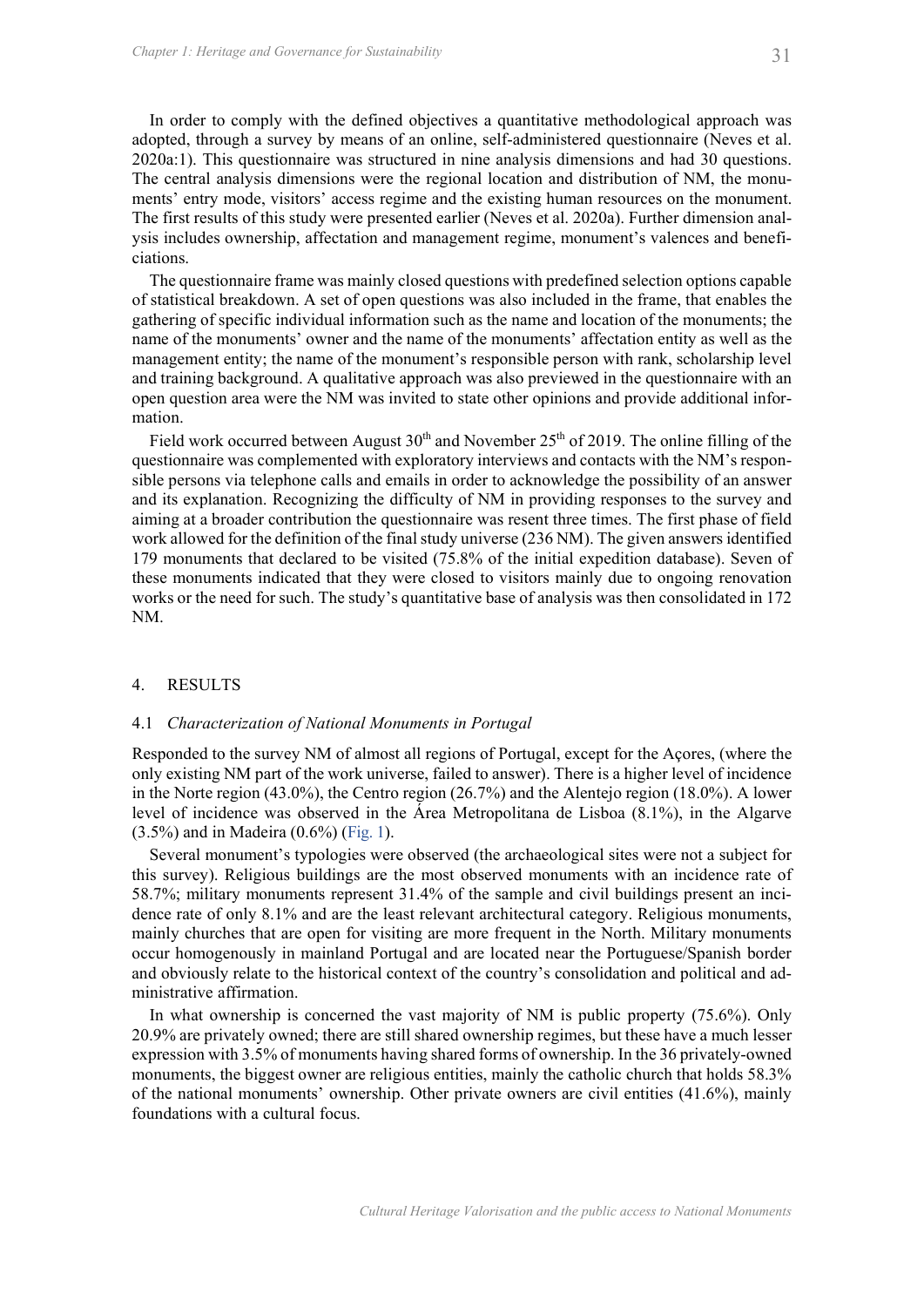In order to comply with the defined objectives a quantitative methodological approach was adopted, through a survey by means of an online, self-administered questionnaire (Neves et al. 2020a:1). This questionnaire was structured in nine analysis dimensions and had 30 questions. The central analysis dimensions were the regional location and distribution of NM, the monuments' entry mode, visitors' access regime and the existing human resources on the monument. The first results of this study were presented earlier (Neves et al. 2020a). Further dimension analysis includes ownership, affectation and management regime, monument's valences and beneficiations.

The questionnaire frame was mainly closed questions with predefined selection options capable of statistical breakdown. A set of open questions was also included in the frame, that enables the gathering of specific individual information such as the name and location of the monuments; the name of the monuments' owner and the name of the monuments' affectation entity as well as the management entity; the name of the monument's responsible person with rank, scholarship level and training background. A qualitative approach was also previewed in the questionnaire with an open question area were the NM was invited to state other opinions and provide additional information.

Field work occurred between August  $30<sup>th</sup>$  and November  $25<sup>th</sup>$  of 2019. The online filling of the questionnaire was complemented with exploratory interviews and contacts with the NM's responsible persons via telephone calls and emails in order to acknowledge the possibility of an answer and its explanation. Recognizing the difficulty of NM in providing responses to the survey and aiming at a broader contribution the questionnaire was resent three times. The first phase of field work allowed for the definition of the final study universe (236 NM). The given answers identified 179 monuments that declared to be visited (75.8% of the initial expedition database). Seven of these monuments indicated that they were closed to visitors mainly due to ongoing renovation works or the need for such. The study's quantitative base of analysis was then consolidated in 172 NM. The questional rains was harmany closed questions was also included in the frame<br>of statistical breakdown. A set of open questions was also included in the frame<br>gathering of specific individual information such as the na Field work occurred between August 30<sup>n</sup> and November 25<sup>n</sup> of 2019. The online filling of the exporements was complemented with exploratory interviews and contacts with the NM's responsible persons with telephone calls a

# 4.1 Characterization of National Monuments in Portugal

Responded to the survey NM of almost all regions of Portugal, except for the Açores, (where the only existing NM part of the work universe, failed to answer). There is a higher level of incidence in the Norte region (43.0%), the Centro region (26.7%) and the Alentejo region (18.0%). A lower level of incidence was observed in the Área Metropolitana de Lisboa (8.1%), in the Algarve

Several monument's typologies were observed (the archaeological sites were not a subject for this survey). Religious buildings are the most observed monuments with an incidence rate of 58.7%; military monuments represent 31.4% of the sample and civil buildings present an incidence rate of only 8.1% and are the least relevant architectural category. Religious monuments, work allowed for the definition of the final study universe (236 NM). The given answers identified<br>179 monuments that declared to be visited (75.8% of the initial expedition database). Seven of<br>these monuments indicated th occur homogenously in mainland Portugal and are located near the Portuguese/Spanish border and obviously relate to the historical context of the country's consolidation and political and administrative affirmation.

In what ownership is concerned the vast majority of NM is public property (75.6%). Only 20.9% are privately owned; there are still shared ownership regimes, but these have a much lesser expression with 3.5% of monuments having shared forms of ownership. In the 36 privately-owned monuments, the biggest owner are religious entities, mainly the catholic church that holds 58.3% of the national monuments' ownership. Other private owners are civil entities (41.6%), mainly foundations with a cultural focus.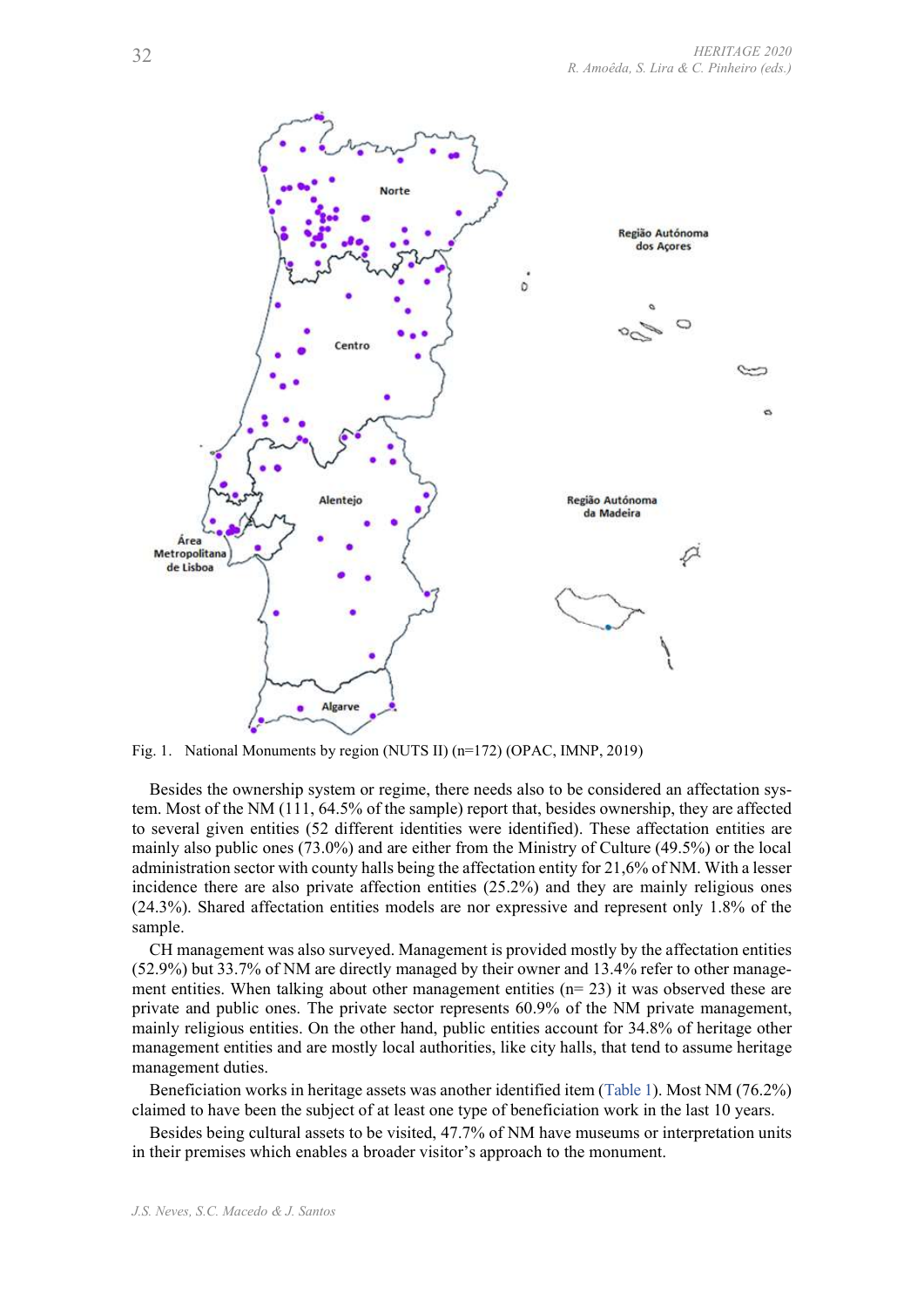

Besides the ownership system or regime, there needs also to be considered an affectation system. Most of the NM (111, 64.5% of the sample) report that, besides ownership, they are affected to several given entities (52 different identities were identified). These affectation entities are mainly also public ones (73.0%) and are either from the Ministry of Culture (49.5%) or the local administration sector with county halls being the affectation entity for 21,6% of NM. With a lesser incidence there are also private affection entities (25.2%) and they are mainly religious ones (24.3%). Shared affectation entities models are nor expressive and represent only 1.8% of the sample. Besides the owners by region (NUTS II) (n=172) (OPAC, IMNP, 2019)<br>
Besides the comesning system or regime, there needs also to be considered an affectation sys-<br>
n. Most of the NM (111, 64.3% of the sample) report that, b

tem. Most of the NM (111, 64.2%) of the sample) report that, bestess ownerslip, they a aftected in evidential conversions to several given entities (52 different identities were identified). These affectation entities are CH management was also surveyed. Management is provided mostly by the affectation entities (52.9%) but 33.7% of NM are directly managed by their owner and 13.4% refer to other manageprivate and public ones. The private sector represents 60.9% of the NM private management, mainly religious entities. On the other hand, public entities account for 34.8% of heritage other management entities and are mostly local authorities, like city halls, that tend to assume heritage management duties.

claimed to have been the subject of at least one type of beneficiation work in the last 10 years.

Besides being cultural assets to be visited, 47.7% of NM have museums or interpretation units in their premises which enables a broader visitor's approach to the monument.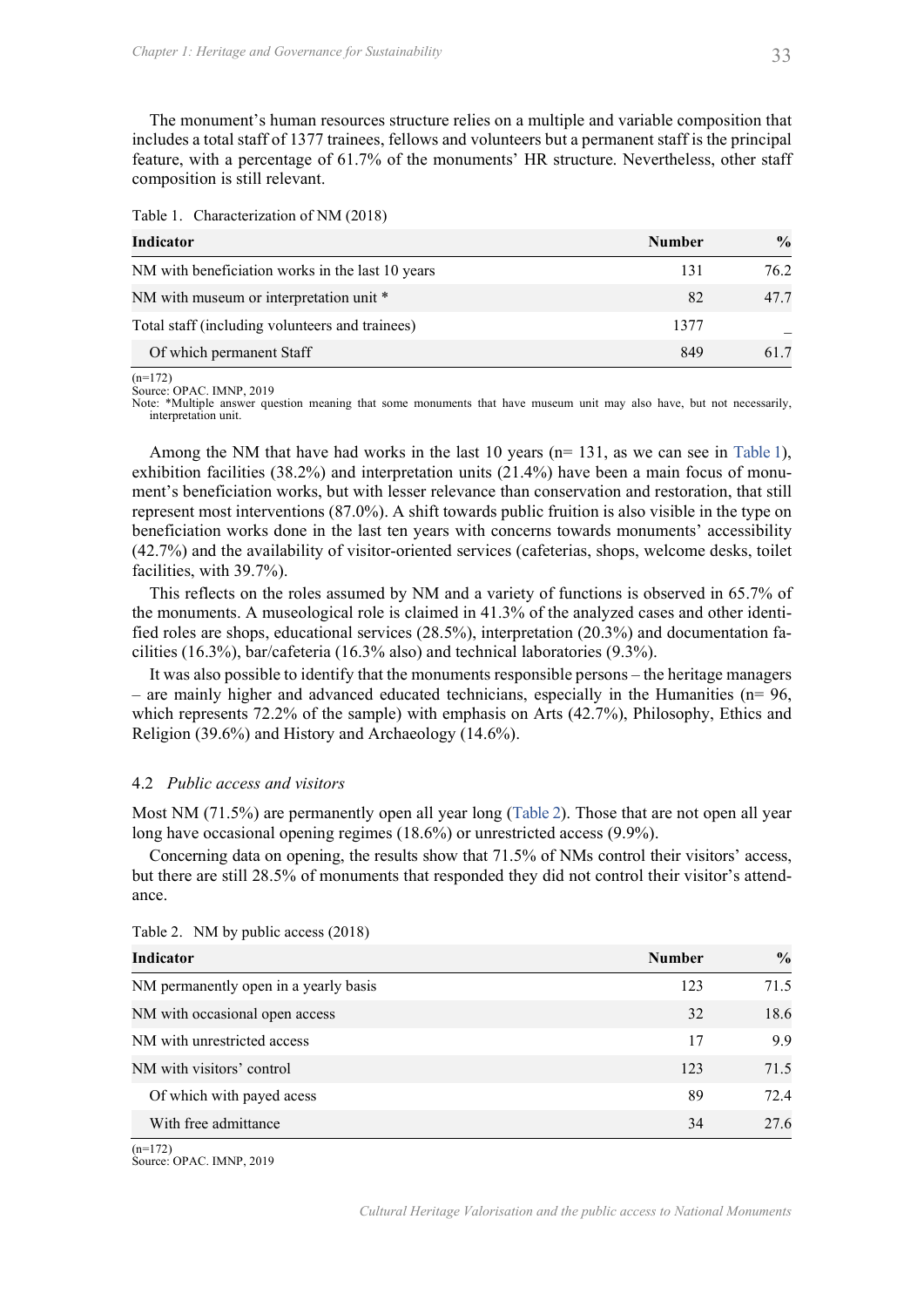| Table 1. | Characterization of NM (2018) |  |
|----------|-------------------------------|--|
|          |                               |  |

| Chapter 1: Heritage and Governance for Sustainability                                                                                                                                                                                                                                                                                                                                          |               | 33            |
|------------------------------------------------------------------------------------------------------------------------------------------------------------------------------------------------------------------------------------------------------------------------------------------------------------------------------------------------------------------------------------------------|---------------|---------------|
|                                                                                                                                                                                                                                                                                                                                                                                                |               |               |
| The monument's human resources structure relies on a multiple and variable composition that<br>includes a total staff of 1377 trainees, fellows and volunteers but a permanent staff is the principal<br>feature, with a percentage of 61.7% of the monuments' HR structure. Nevertheless, other staff<br>composition is still relevant.                                                       |               |               |
| Table 1. Characterization of NM (2018)                                                                                                                                                                                                                                                                                                                                                         |               |               |
| <b>Indicator</b>                                                                                                                                                                                                                                                                                                                                                                               | <b>Number</b> | $\frac{0}{0}$ |
| NM with beneficiation works in the last 10 years                                                                                                                                                                                                                                                                                                                                               | 131           | 76.2          |
| NM with museum or interpretation unit *                                                                                                                                                                                                                                                                                                                                                        | 82            | 47.7          |
| Total staff (including volunteers and trainees)                                                                                                                                                                                                                                                                                                                                                | 1377          |               |
| Of which permanent Staff                                                                                                                                                                                                                                                                                                                                                                       | 849           | 61.7          |
| $(n=172)$<br>Source: OPAC. IMNP, 2019<br>Note: *Multiple answer question meaning that some monuments that have museum unit may also have, but not necessarily,<br>interpretation unit.<br>Among the NM that have had works in the last 10 years ( $n=131$ , as we can see in Table 1),<br>exhibition facilities $(38.2\%)$ and interpretation units $(21.4\%)$ have been a main focus of monu- |               |               |
| ment's beneficiation works, but with lesser relevance than conservation and restoration, that still                                                                                                                                                                                                                                                                                            |               |               |
| represent most interventions (87.0%). A shift towards public fruition is also visible in the type on<br>beneficiation works done in the last ten years with concerns towards monuments' accessibility                                                                                                                                                                                          |               |               |
| (42.7%) and the availability of visitor-oriented services (cafeterias, shops, welcome desks, toilet<br>facilities, with 39.7%).                                                                                                                                                                                                                                                                |               |               |
| This reflects on the roles assumed by NM and a variety of functions is observed in 65.7% of                                                                                                                                                                                                                                                                                                    |               |               |
| the monuments. A museological role is claimed in 41.3% of the analyzed cases and other identi-<br>fied roles are shops, educational services (28.5%), interpretation (20.3%) and documentation fa-<br>cilities (16.3%), bar/cafeteria (16.3% also) and technical laboratories (9.3%).                                                                                                          |               |               |
| It was also possible to identify that the monuments responsible persons – the heritage managers                                                                                                                                                                                                                                                                                                |               |               |
| $-$ are mainly higher and advanced educated technicians, especially in the Humanities ( $n = 96$ )                                                                                                                                                                                                                                                                                             |               |               |

exhibition facilities (38.2%) and interpretation units (21.4%) have been a main focus of monument's beneficiation works, but with lesser relevance than conservation and restoration, that still represent most interventions (87.0%). A shift towards public fruition is also visible in the type on beneficiation works done in the last ten years with concerns towards monuments' accessibility (42.7%) and the availability of visitor-oriented services (cafeterias, shops, welcome desks, toilet interpretation unit.<br>
Among the NM that have had works in the last 10 years (n=131, as we can see in Table 1),<br>
Among the NM that have had works in the last 10 years (21.4%) have been a main focus of monu-<br>
meri's benefic Among the NM that have had works in the last 10 years (n= 131, as we can see in Table 1),<br>exhibition facilities (38.2%) and interpretation units (21.4%) have been a main focus of monu-<br>ement's heneficiation works, but wit extinuour actionuse (so.2%) and imeriperiation units (21.4%) have over a nami occurs or monument's beneficiation works, but with lesser relevance than conservation and restoration, that still represent most interventions

# 4.2 Public access and visitors

| beneficiation works done in the last ten years with concerns towards monuments' accessibility<br>(42.7%) and the availability of visitor-oriented services (cafeterias, shops, welcome desks, toilet<br>facilities, with 39.7%).<br>This reflects on the roles assumed by NM and a variety of functions is observed in 65.7% of<br>the monuments. A museological role is claimed in 41.3% of the analyzed cases and other identi-<br>fied roles are shops, educational services (28.5%), interpretation (20.3%) and documentation fa-<br>cilities (16.3%), bar/cafeteria (16.3% also) and technical laboratories (9.3%).<br>It was also possible to identify that the monuments responsible persons - the heritage managers<br>- are mainly higher and advanced educated technicians, especially in the Humanities ( $n = 96$ ,<br>which represents 72.2% of the sample) with emphasis on Arts (42.7%), Philosophy, Ethics and |               |               |
|--------------------------------------------------------------------------------------------------------------------------------------------------------------------------------------------------------------------------------------------------------------------------------------------------------------------------------------------------------------------------------------------------------------------------------------------------------------------------------------------------------------------------------------------------------------------------------------------------------------------------------------------------------------------------------------------------------------------------------------------------------------------------------------------------------------------------------------------------------------------------------------------------------------------------------|---------------|---------------|
| Religion (39.6%) and History and Archaeology (14.6%).                                                                                                                                                                                                                                                                                                                                                                                                                                                                                                                                                                                                                                                                                                                                                                                                                                                                          |               |               |
| 4.2 Public access and visitors                                                                                                                                                                                                                                                                                                                                                                                                                                                                                                                                                                                                                                                                                                                                                                                                                                                                                                 |               |               |
| Most NM (71.5%) are permanently open all year long (Table 2). Those that are not open all year<br>long have occasional opening regimes (18.6%) or unrestricted access (9.9%).<br>Concerning data on opening, the results show that 71.5% of NMs control their visitors' access,<br>but there are still 28.5% of monuments that responded they did not control their visitor's attend-<br>ance.                                                                                                                                                                                                                                                                                                                                                                                                                                                                                                                                 |               |               |
| Table 2. NM by public access (2018)                                                                                                                                                                                                                                                                                                                                                                                                                                                                                                                                                                                                                                                                                                                                                                                                                                                                                            |               |               |
| <b>Indicator</b>                                                                                                                                                                                                                                                                                                                                                                                                                                                                                                                                                                                                                                                                                                                                                                                                                                                                                                               | <b>Number</b> | $\frac{0}{0}$ |
| NM permanently open in a yearly basis                                                                                                                                                                                                                                                                                                                                                                                                                                                                                                                                                                                                                                                                                                                                                                                                                                                                                          | 123           | 71.5          |
| NM with occasional open access                                                                                                                                                                                                                                                                                                                                                                                                                                                                                                                                                                                                                                                                                                                                                                                                                                                                                                 | 32            | 18.6          |
| NM with unrestricted access                                                                                                                                                                                                                                                                                                                                                                                                                                                                                                                                                                                                                                                                                                                                                                                                                                                                                                    | 17            | 9.9           |
| NM with visitors' control                                                                                                                                                                                                                                                                                                                                                                                                                                                                                                                                                                                                                                                                                                                                                                                                                                                                                                      | 123           | 71.5          |
| Of which with payed acess                                                                                                                                                                                                                                                                                                                                                                                                                                                                                                                                                                                                                                                                                                                                                                                                                                                                                                      | 89            | 72.4          |
| With free admittance                                                                                                                                                                                                                                                                                                                                                                                                                                                                                                                                                                                                                                                                                                                                                                                                                                                                                                           | 34            | 27.6          |

 $(n=172)$ 

Source: OPAC. IMNP, 2019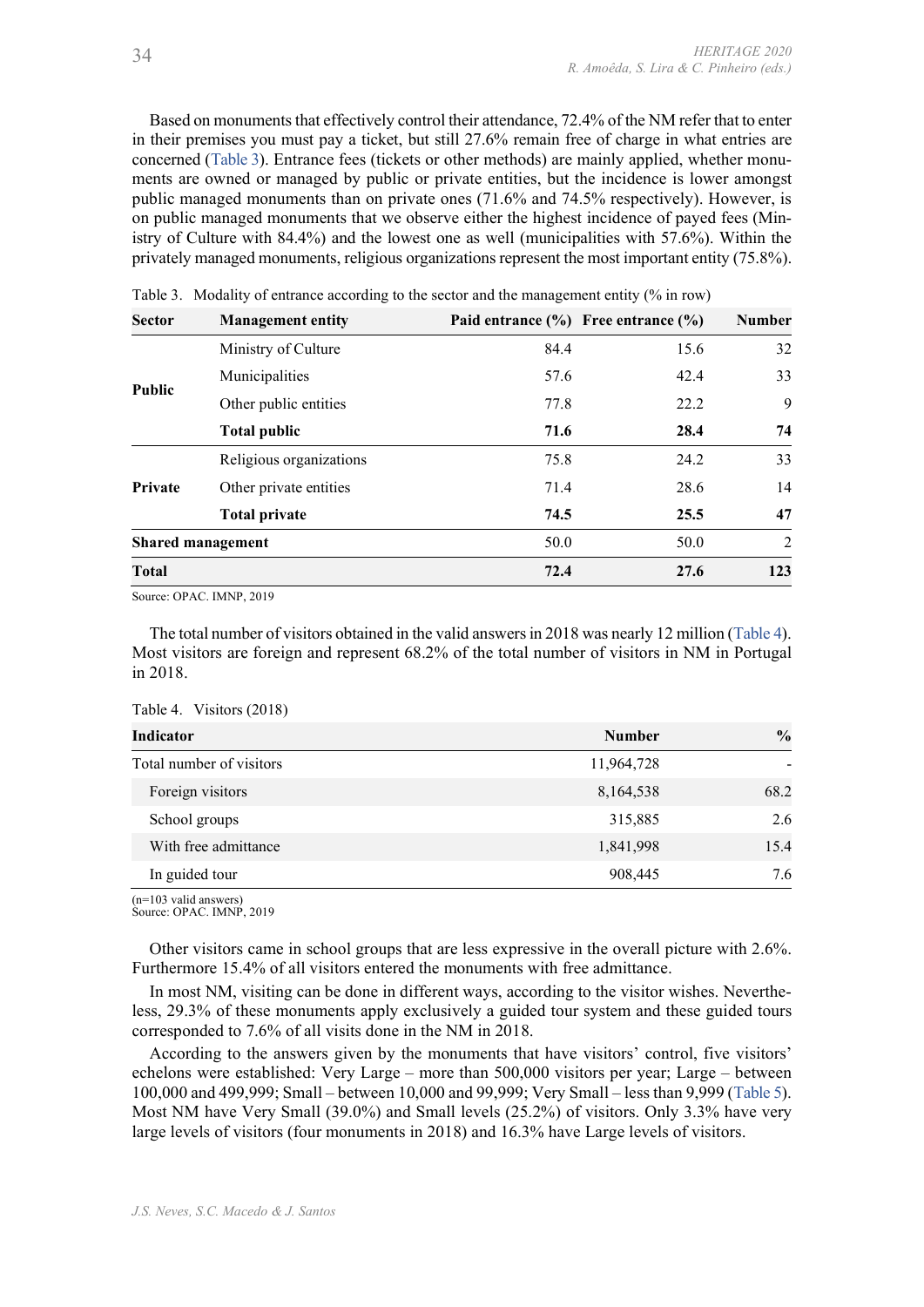Based on monuments that effectively control their attendance, 72.4% of the NM refer that to enter in their premises you must pay a ticket, but still 27.6% remain free of charge in what entries are ERITAGE 2020<br>
R. Amoêda, S. Lira & C. Pinheiro (eds.)<br>
Based on monuments that effectively control their attendance, 72.4% of the NM refer that to enter<br>
in their premises you must pay a ticket, but still 27.6% remain free ments are owned or managed by public or private entities, but the incidence is lower amongst Based on monuments that effectively control their attendance, 72.4% of the NM refer that to enter<br>in their premises you must pay a ticket, but still 27.6% remain free of charge in what entries are<br>concerned (Table 3). Ent on public managed monuments that we observe either the highest incidence of payed fees (Ministry of Culture with 84.4%) and the lowest one as well (municipalities with 57.6%). Within the privately managed monuments, religious organizations represent the most important entity (75.8%). The state of entrance according to the sector and the management entity of Entrance and the material in the mericular to the more corresponding to the sector of the material concerned (Table 3). Entrance frees (tickets or R. Amoéda, S. Lira & C. Pinherio (eds.)<br>
MERITAGE 2020<br>
MONUMENT state defectively control their attendance, 72.4% of the NM refer that to enter<br>
isses you must pay a ticket, but still 27.6% remain free of charge in what

| 34            |                          | R. Amoêda, S. Lira & C. Pinheiro (eds.)                                                                                                                                                                                                                                                                                                                                                                                                                                                                                                                                                                                                                                                                                                                                                                         |      | HERITAGE 2020  |
|---------------|--------------------------|-----------------------------------------------------------------------------------------------------------------------------------------------------------------------------------------------------------------------------------------------------------------------------------------------------------------------------------------------------------------------------------------------------------------------------------------------------------------------------------------------------------------------------------------------------------------------------------------------------------------------------------------------------------------------------------------------------------------------------------------------------------------------------------------------------------------|------|----------------|
|               |                          | Based on monuments that effectively control their attendance, 72.4% of the NM refer that to enter<br>in their premises you must pay a ticket, but still 27.6% remain free of charge in what entries are<br>concerned (Table 3). Entrance fees (tickets or other methods) are mainly applied, whether monu-<br>ments are owned or managed by public or private entities, but the incidence is lower amongst<br>public managed monuments than on private ones (71.6% and 74.5% respectively). However, is<br>on public managed monuments that we observe either the highest incidence of payed fees (Min-<br>istry of Culture with 84.4%) and the lowest one as well (municipalities with 57.6%). Within the<br>privately managed monuments, religious organizations represent the most important entity (75.8%). |      |                |
| <b>Sector</b> | <b>Management entity</b> | Table 3. Modality of entrance according to the sector and the management entity (% in row)<br>Paid entrance $(\% )$ Free entrance $(\% )$                                                                                                                                                                                                                                                                                                                                                                                                                                                                                                                                                                                                                                                                       |      | <b>Number</b>  |
|               | Ministry of Culture      | 84.4                                                                                                                                                                                                                                                                                                                                                                                                                                                                                                                                                                                                                                                                                                                                                                                                            | 15.6 | 32             |
|               | Municipalities           | 57.6                                                                                                                                                                                                                                                                                                                                                                                                                                                                                                                                                                                                                                                                                                                                                                                                            | 42.4 | 33             |
| <b>Public</b> | Other public entities    | 77.8                                                                                                                                                                                                                                                                                                                                                                                                                                                                                                                                                                                                                                                                                                                                                                                                            | 22.2 | 9              |
|               | <b>Total public</b>      | 71.6                                                                                                                                                                                                                                                                                                                                                                                                                                                                                                                                                                                                                                                                                                                                                                                                            | 28.4 | 74             |
|               | Religious organizations  | 75.8                                                                                                                                                                                                                                                                                                                                                                                                                                                                                                                                                                                                                                                                                                                                                                                                            | 24.2 | 33             |
| Private       | Other private entities   | 71.4                                                                                                                                                                                                                                                                                                                                                                                                                                                                                                                                                                                                                                                                                                                                                                                                            | 28.6 | 14             |
|               | <b>Total private</b>     | 74.5                                                                                                                                                                                                                                                                                                                                                                                                                                                                                                                                                                                                                                                                                                                                                                                                            | 25.5 | 47             |
|               | <b>Shared management</b> | 50.0                                                                                                                                                                                                                                                                                                                                                                                                                                                                                                                                                                                                                                                                                                                                                                                                            | 50.0 | $\overline{2}$ |
| Total         |                          | 72.4                                                                                                                                                                                                                                                                                                                                                                                                                                                                                                                                                                                                                                                                                                                                                                                                            | 27.6 | 123            |
| in 2018.      | Source: OPAC. IMNP, 2019 | The total number of visitors obtained in the valid answers in 2018 was nearly 12 million (Table 4).<br>Most visitors are foreign and represent 68.2% of the total number of visitors in NM in Portugal                                                                                                                                                                                                                                                                                                                                                                                                                                                                                                                                                                                                          |      |                |
|               | Table 4. Visitors (2018) |                                                                                                                                                                                                                                                                                                                                                                                                                                                                                                                                                                                                                                                                                                                                                                                                                 |      |                |
| Indicator     |                          | <b>Number</b>                                                                                                                                                                                                                                                                                                                                                                                                                                                                                                                                                                                                                                                                                                                                                                                                   |      | $\frac{0}{0}$  |
|               | Total number of visitors | 11,964,728                                                                                                                                                                                                                                                                                                                                                                                                                                                                                                                                                                                                                                                                                                                                                                                                      |      |                |
|               | Foreign visitors         | 8,164,538                                                                                                                                                                                                                                                                                                                                                                                                                                                                                                                                                                                                                                                                                                                                                                                                       |      | 68.2           |
| School groups |                          | 315,885                                                                                                                                                                                                                                                                                                                                                                                                                                                                                                                                                                                                                                                                                                                                                                                                         |      | 2.6            |
|               | With free admittance     | 1,841,998                                                                                                                                                                                                                                                                                                                                                                                                                                                                                                                                                                                                                                                                                                                                                                                                       |      | 15.4           |

|                                 | <b>Total public</b>                                                                                                                                                                                                                                                                                                                                                                                                                                                                                                                                                                                                                                                                                                                                                                                                                                                                                                                           | 71.6          | 28.4 | 74             |
|---------------------------------|-----------------------------------------------------------------------------------------------------------------------------------------------------------------------------------------------------------------------------------------------------------------------------------------------------------------------------------------------------------------------------------------------------------------------------------------------------------------------------------------------------------------------------------------------------------------------------------------------------------------------------------------------------------------------------------------------------------------------------------------------------------------------------------------------------------------------------------------------------------------------------------------------------------------------------------------------|---------------|------|----------------|
|                                 | Religious organizations                                                                                                                                                                                                                                                                                                                                                                                                                                                                                                                                                                                                                                                                                                                                                                                                                                                                                                                       | 75.8          | 24.2 | 33             |
| Private                         | Other private entities                                                                                                                                                                                                                                                                                                                                                                                                                                                                                                                                                                                                                                                                                                                                                                                                                                                                                                                        | 71.4          | 28.6 | 14             |
|                                 | <b>Total private</b>                                                                                                                                                                                                                                                                                                                                                                                                                                                                                                                                                                                                                                                                                                                                                                                                                                                                                                                          | 74.5          | 25.5 | 47             |
|                                 | <b>Shared management</b>                                                                                                                                                                                                                                                                                                                                                                                                                                                                                                                                                                                                                                                                                                                                                                                                                                                                                                                      | 50.0          | 50.0 | $\overline{2}$ |
| <b>Total</b>                    |                                                                                                                                                                                                                                                                                                                                                                                                                                                                                                                                                                                                                                                                                                                                                                                                                                                                                                                                               | 72.4          | 27.6 | 123            |
|                                 | Source: OPAC. IMNP, 2019                                                                                                                                                                                                                                                                                                                                                                                                                                                                                                                                                                                                                                                                                                                                                                                                                                                                                                                      |               |      |                |
| in 2018.                        | The total number of visitors obtained in the valid answers in 2018 was nearly 12 million (Table 4).<br>Most visitors are foreign and represent 68.2% of the total number of visitors in NM in Portugal<br>Table 4. Visitors (2018)                                                                                                                                                                                                                                                                                                                                                                                                                                                                                                                                                                                                                                                                                                            |               |      |                |
| Indicator                       |                                                                                                                                                                                                                                                                                                                                                                                                                                                                                                                                                                                                                                                                                                                                                                                                                                                                                                                                               | <b>Number</b> |      | $\frac{0}{0}$  |
|                                 | Total number of visitors                                                                                                                                                                                                                                                                                                                                                                                                                                                                                                                                                                                                                                                                                                                                                                                                                                                                                                                      | 11,964,728    |      |                |
|                                 | Foreign visitors                                                                                                                                                                                                                                                                                                                                                                                                                                                                                                                                                                                                                                                                                                                                                                                                                                                                                                                              | 8,164,538     |      | 68.2           |
| School groups                   |                                                                                                                                                                                                                                                                                                                                                                                                                                                                                                                                                                                                                                                                                                                                                                                                                                                                                                                                               | 315,885       |      | 2.6            |
|                                 | With free admittance                                                                                                                                                                                                                                                                                                                                                                                                                                                                                                                                                                                                                                                                                                                                                                                                                                                                                                                          | 1,841,998     |      | 15.4           |
| In guided tour                  |                                                                                                                                                                                                                                                                                                                                                                                                                                                                                                                                                                                                                                                                                                                                                                                                                                                                                                                                               | 908,445       |      | 7.6            |
| $(n=103 \text{ valid answers})$ | Source: OPAC. IMNP, 2019                                                                                                                                                                                                                                                                                                                                                                                                                                                                                                                                                                                                                                                                                                                                                                                                                                                                                                                      |               |      |                |
|                                 | Other visitors came in school groups that are less expressive in the overall picture with 2.6%.<br>Furthermore 15.4% of all visitors entered the monuments with free admittance.<br>In most NM, visiting can be done in different ways, according to the visitor wishes. Neverthe-<br>less, 29.3% of these monuments apply exclusively a guided tour system and these guided tours<br>corresponded to 7.6% of all visits done in the NM in 2018.<br>According to the answers given by the monuments that have visitors' control, five visitors'<br>echelons were established: Very Large – more than 500,000 visitors per year; Large – between<br>100,000 and 499,999; Small – between 10,000 and 99,999; Very Small – less than 9,999 (Table 5).<br>Most NM have Very Small (39.0%) and Small levels (25.2%) of visitors. Only 3.3% have very<br>large levels of visitors (four monuments in 2018) and 16.3% have Large levels of visitors. |               |      |                |

School groups<br>
315,885 2.6<br>
With free admittance<br>
11,841,998 315,885 2.6<br>
11,841,998 15.4<br>
19,200 908,445 7.6<br>
(grad) saltamesca)<br>
Other visitors came in school groups that are less expressive in the overall picture with According to the answers given by the monuments that have visitors' control, five visitors' echelons were established: Very Large – more than 500,000 visitors per year; Large – between Most NM have Very Small (39.0%) and Small levels (25.2%) of visitors. Only 3.3% have very large levels of visitors (four monuments in 2018) and 16.3% have Large levels of visitors.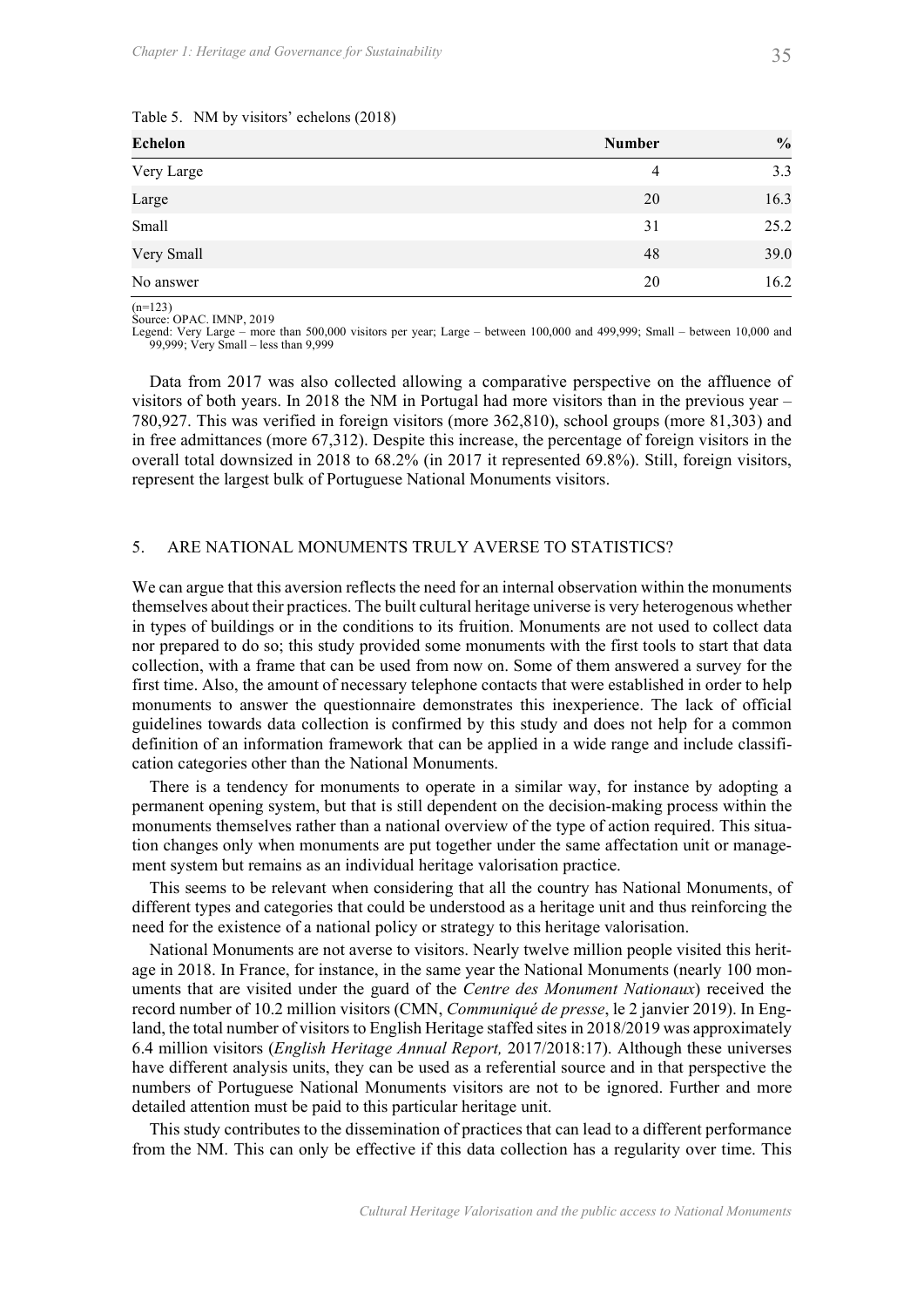| Chapter 1: Heritage and Governance for Sustainability                                                                                                                                                                                                                                                                                                                                                                                                                                                                                                                               |                | 35            |
|-------------------------------------------------------------------------------------------------------------------------------------------------------------------------------------------------------------------------------------------------------------------------------------------------------------------------------------------------------------------------------------------------------------------------------------------------------------------------------------------------------------------------------------------------------------------------------------|----------------|---------------|
|                                                                                                                                                                                                                                                                                                                                                                                                                                                                                                                                                                                     |                |               |
| Table 5. NM by visitors' echelons (2018)                                                                                                                                                                                                                                                                                                                                                                                                                                                                                                                                            |                |               |
| Echelon                                                                                                                                                                                                                                                                                                                                                                                                                                                                                                                                                                             | <b>Number</b>  | $\frac{0}{0}$ |
| Very Large                                                                                                                                                                                                                                                                                                                                                                                                                                                                                                                                                                          | $\overline{4}$ | 3.3           |
| Large                                                                                                                                                                                                                                                                                                                                                                                                                                                                                                                                                                               | 20             | 16.3          |
| Small                                                                                                                                                                                                                                                                                                                                                                                                                                                                                                                                                                               | 31             | 25.2          |
| Very Small                                                                                                                                                                                                                                                                                                                                                                                                                                                                                                                                                                          | 48             | 39.0          |
| No answer                                                                                                                                                                                                                                                                                                                                                                                                                                                                                                                                                                           | 20             | 16.2          |
| $(n=123)$<br>Source: OPAC. IMNP, 2019<br>Legend: Very Large – more than 500,000 visitors per year; Large – between 100,000 and 499,999; Small – between 10,000 and<br>99,999; Very Small – less than 9,999                                                                                                                                                                                                                                                                                                                                                                          |                |               |
| Data from 2017 was also collected allowing a comparative perspective on the affluence of<br>visitors of both years. In 2018 the NM in Portugal had more visitors than in the previous year –<br>780,927. This was verified in foreign visitors (more 362,810), school groups (more 81,303) and<br>in free admittances (more 67,312). Despite this increase, the percentage of foreign visitors in the<br>overall total downsized in 2018 to 68.2% (in 2017 it represented 69.8%). Still, foreign visitors,<br>represent the largest bulk of Portuguese National Monuments visitors. |                |               |
| ARE NATIONAL MONUMENTS TRULY AVERSE TO STATISTICS?<br>5.                                                                                                                                                                                                                                                                                                                                                                                                                                                                                                                            |                |               |
| We can argue that this aversion reflects the need for an internal observation within the monuments<br>themselves about their practices. The built cultural heritage universe is very heterogenous whether<br>in types of buildings or in the conditions to its fruition. Monuments are not used to collect data                                                                                                                                                                                                                                                                     |                |               |

We can argue that this aversion reflects the need for an internal observation within the monuments themselves about their practices. The built cultural heritage universe is very heterogenous whether in types of buildings or in the conditions to its fruition. Monuments are not used to collect data nor prepared to do so; this study provided some monuments with the first tools to start that data collection, with a frame that can be used from now on. Some of them answered a survey for the first time. Also, the amount of necessary telephone contacts that were established in order to help monuments to answer the questionnaire demonstrates this inexperience. The lack of official guidelines towards data collection is confirmed by this study and does not help for a common definition of an information framework that can be applied in a wide range and include classification categories other than the National Monuments. Follow the set winds and the method of the set where the type of the type stress in the network of the type of the type of the type of the type of the type of the type of the type overall total downsized in 2018 to 68.2% ( 5. ARE NATIONAL MONUMENTS TRULY AVERSE TO STATISTICS?<br>We can argue that this aversion reflects the need for an internal observation within the monuments<br>themselves about their practices. The built cultural heritage univers

There is a tendency for monuments to operate in a similar way, for instance by adopting a permanent opening system, but that is still dependent on the decision-making process within the tion changes only when monuments are put together under the same affectation unit or management system but remains as an individual heritage valorisation practice.

This seems to be relevant when considering that all the country has National Monuments, of different types and categories that could be understood as a heritage unit and thus reinforcing the

National Monuments are not averse to visitors. Nearly twelve million people visited this heritage in 2018. In France, for instance, in the same year the National Monuments (nearly 100 monuments that are visited under the guard of the *Centre des Monument Nationaux*) received the record number of 10.2 million visitors (CMN, Communiqué de presse, le 2 janvier 2019). In England, the total number of visitors to English Heritage staffed sites in 2018/2019 was approximately 6.4 million visitors (English Heritage Annual Report, 2017/2018:17). Although these universes have different analysis units, they can be used as a referential source and in that perspective the numbers of Portuguese National Monuments visitors are not to be ignored. Further and more detailed attention must be paid to this particular heritage unit.

This study contributes to the dissemination of practices that can lead to a different performance from the NM. This can only be effective if this data collection has a regularity over time. This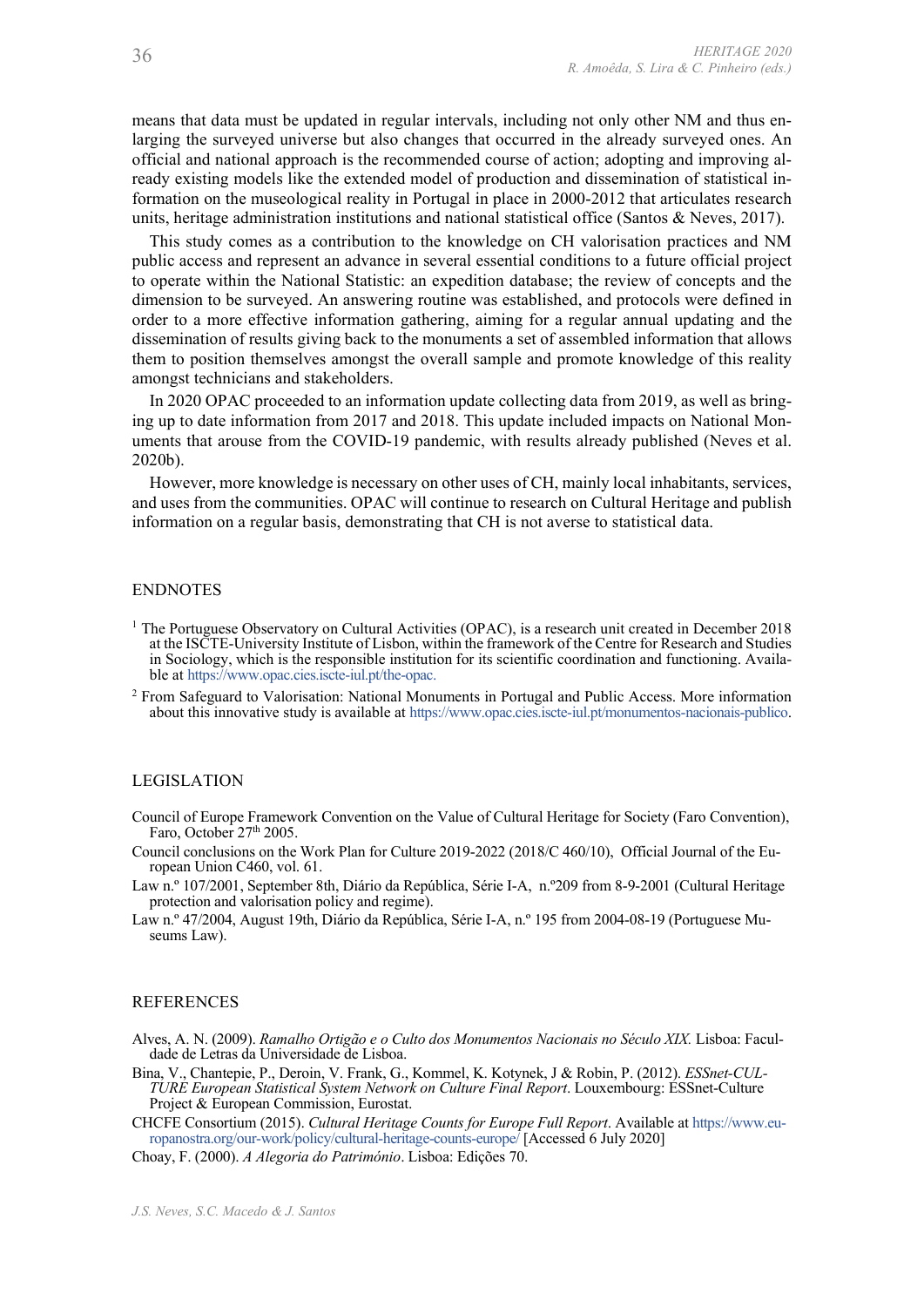means that data must be updated in regular intervals, including not only other NM and thus enlarging the surveyed universe but also changes that occurred in the already surveyed ones. An official and national approach is the recommended course of action; adopting and improving already existing models like the extended model of production and dissemination of statistical information on the museological reality in Portugal in place in 2000-2012 that articulates research HERITAGE 2020<br>
means that data must be updated in regular intervals, including not only other NM and thus en-<br>
larging the surveyed universe but also changes that occurred in the already surveyed ones. An<br>
official and nat

*R. Amoêda, S. Lira & C. Pinheiro (eds.)*<br>
R. Amoêda, S. Lira & C. Pinheiro (eds.)<br> **Example be surveyed universe but also changes that occurred in the already surveyed ones. An<br>
dictial and national approach is the recomm** public access and represent an advance in several essential conditions to a future official project to operate within the National Statistic: an expedition database; the review of concepts and the dimension to be surveyed. An answering routine was established, and protocols were defined in order to a more effective information gathering, aiming for a regular annual updating and the 3.6<br> *R. Amoéda, S. Lira* & *C. Pinheiro* (eds.)<br> **means that data must be updated in regular intervals, including not only other NM and thus en-<br>
larging the surveyed universe but also changes that occurred in the alread** them to position themselves amongst the overall sample and promote knowledge of this reality amongst technicians and stakeholders. 36<br>  $R. Anodela, S. Lira \& C. Pinkero (ed.)$ <br>  $R. Anodela, S. Lira \& C. Pinkero (ed.)$ <br>
Intergrig the surveyed universe but also changes that cocurred in the already surveyed ones. An<br>
difficial and national approach is the recommended course of action; ado

In 2020 OPAC proceeded to an information update collecting data from 2019, as well as bringing up to date information from 2017 and 2018. This update included impacts on National Mon-2020b).

However, more knowledge is necessary on other uses of CH, mainly local inhabitants, services, and uses from the communities. OPAC will continue to research on Cultural Heritage and publish information on a regular basis, demonstrating that CH is not averse to statistical data.

# ENDNOTES

- <sup>1</sup> The Portuguese Observatory on Cultural Activities (OPAC), is a research unit created in December 2018 at the ISCTE-University Institute of Lisbon, within the framework of the Centre for Research and Studies in Sociology, which is the responsible institution for its scientific coordination and functioning. Available at https://www.opac.cies.iscte-iul.pt/the-opac.
- <sup>2</sup> From Safeguard to Valorisation: National Monuments in Portugal and Public Access. More information about this innovative study is available at https://www.opac.cies.iscte-iul.pt/monumentos-nacionais-publico.

# LEGISLATION

- Council of Europe Framework Convention on the Value of Cultural Heritage for Society (Faro Convention), Faro, October  $27<sup>th</sup> 2005$ .
- Council conclusions on the Work Plan for Culture 2019-2022 (2018/C 460/10), Official Journal of the European Union C460, vol. 61.
- Law n.º 107/2001, September 8th, Diário da República, Série I-A, n.º209 from 8-9-2001 (Cultural Heritage protection and valorisation policy and regime).
- Law n.º 47/2004, August 19th, Diário da República, Série I-A, n.º 195 from 2004-08-19 (Portuguese Museums Law).

# REFERENCES

- Alves, A. N. (2009). Ramalho Ortigão e o Culto dos Monumentos Nacionais no Século XIX. Lisboa: Facul-
- Council of Europe Franswork Convention on the Value of Cultural Heritage for Society (Faro Convention),<br>
Franc, October 27<sup>8</sup> 2005.<br>
Term, October 27<sup>8</sup> 2005.<br>
Term, October 27<sup>8</sup> 2005.<br>
Dependent on the Work. Plan for Cu in Sociology, which is the responsible institution for its scientific coordination and function Suble at https://www.opac.ciss.isde-iul.pl/tho-opac.<br>
the la https://www.opac.ciss.isde-iul.pl/tho-opac.<br>
Horom Safeguard to V Bina, V., Chantepie, P., Deroin, V. Frank, G., Kommel, K. Kotynek, J & Robin, P. (2012). ESSnet-CUL-TURE European Statistical System Network on Culture Final Report. Louxembourg: ESSnet-Culture Project & European Commission, Eurostat. EGISLATION<br>
uncell of Europe Framework Convention on the Value of Cultural Heritage for Society (Faro Convention),<br>
Fram, October 27<sup>th</sup> 2005.<br>
Stra. October 27<sup>th</sup> 2005.<br>
uncell conclusters and the Bu-policy and the Bu-po

CHCFE Consortium (2015). Cultural Heritage Counts for Europe Full Report. Available at https://www.eu-<br>ropanostra.org/our-work/policy/cultural-heritage-counts-europe/ [Accessed 6 July 2020]

Choay, F. (2000). A Alegoria do Património. Lisboa: Edições 70.